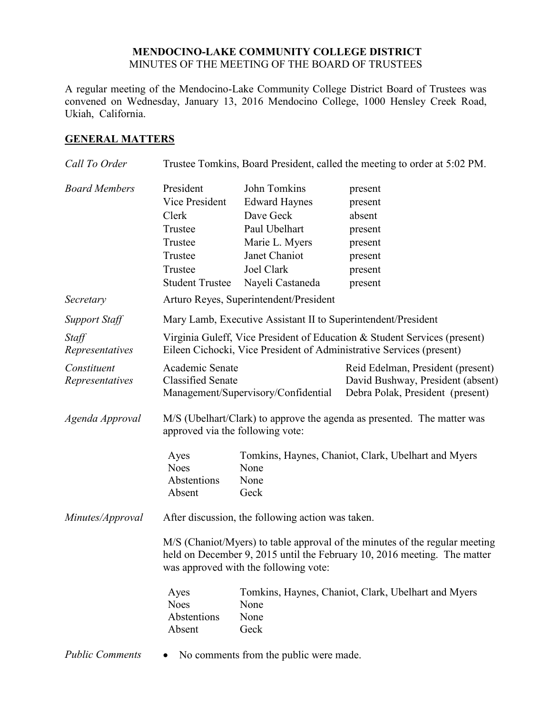#### **MENDOCINO-LAKE COMMUNITY COLLEGE DISTRICT** MINUTES OF THE MEETING OF THE BOARD OF TRUSTEES

A regular meeting of the Mendocino-Lake Community College District Board of Trustees was convened on Wednesday, January 13, 2016 Mendocino College, 1000 Hensley Creek Road, Ukiah, California.

#### **GENERAL MATTERS**

| Call To Order                  | Trustee Tomkins, Board President, called the meeting to order at 5:02 PM.                                                                                                                        |                                                                                                       |                                                                                                            |
|--------------------------------|--------------------------------------------------------------------------------------------------------------------------------------------------------------------------------------------------|-------------------------------------------------------------------------------------------------------|------------------------------------------------------------------------------------------------------------|
| <b>Board Members</b>           | President<br>Vice President<br>Clerk<br>Trustee<br>Trustee<br>Trustee                                                                                                                            | John Tomkins<br><b>Edward Haynes</b><br>Dave Geck<br>Paul Ubelhart<br>Marie L. Myers<br>Janet Chaniot | present<br>present<br>absent<br>present<br>present<br>present                                              |
|                                | Trustee                                                                                                                                                                                          | Joel Clark                                                                                            | present                                                                                                    |
| Secretary                      | <b>Student Trustee</b>                                                                                                                                                                           | Nayeli Castaneda                                                                                      | present                                                                                                    |
|                                | Arturo Reyes, Superintendent/President<br>Mary Lamb, Executive Assistant II to Superintendent/President                                                                                          |                                                                                                       |                                                                                                            |
| <b>Support Staff</b>           |                                                                                                                                                                                                  |                                                                                                       |                                                                                                            |
| Staff<br>Representatives       | Virginia Guleff, Vice President of Education & Student Services (present)<br>Eileen Cichocki, Vice President of Administrative Services (present)                                                |                                                                                                       |                                                                                                            |
| Constituent<br>Representatives | Academic Senate<br><b>Classified Senate</b>                                                                                                                                                      | Management/Supervisory/Confidential                                                                   | Reid Edelman, President (present)<br>David Bushway, President (absent)<br>Debra Polak, President (present) |
| Agenda Approval                | M/S (Ubelhart/Clark) to approve the agenda as presented. The matter was<br>approved via the following vote:                                                                                      |                                                                                                       |                                                                                                            |
|                                | Ayes<br><b>Noes</b><br>Abstentions<br>Absent                                                                                                                                                     | None<br>None<br>Geck                                                                                  | Tomkins, Haynes, Chaniot, Clark, Ubelhart and Myers                                                        |
| Minutes/Approval               | After discussion, the following action was taken.                                                                                                                                                |                                                                                                       |                                                                                                            |
|                                | M/S (Chaniot/Myers) to table approval of the minutes of the regular meeting<br>held on December 9, 2015 until the February 10, 2016 meeting. The matter<br>was approved with the following vote: |                                                                                                       |                                                                                                            |
|                                | Ayes<br><b>Noes</b><br>Abstentions<br>Absent                                                                                                                                                     | None<br>None<br>Geck                                                                                  | Tomkins, Haynes, Chaniot, Clark, Ubelhart and Myers                                                        |
| <b>Public Comments</b>         | No comments from the public were made.<br>$\bullet$                                                                                                                                              |                                                                                                       |                                                                                                            |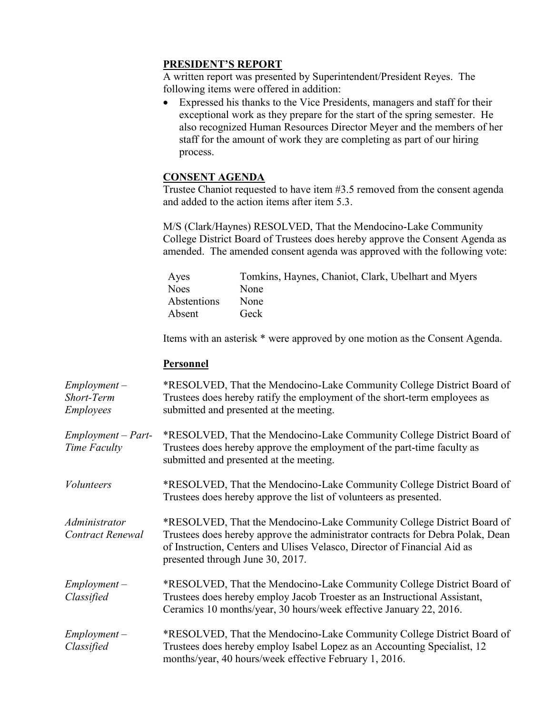## **PRESIDENT'S REPORT**

A written report was presented by Superintendent/President Reyes. The following items were offered in addition:

 Expressed his thanks to the Vice Presidents, managers and staff for their exceptional work as they prepare for the start of the spring semester. He also recognized Human Resources Director Meyer and the members of her staff for the amount of work they are completing as part of our hiring process.

## **CONSENT AGENDA**

Trustee Chaniot requested to have item #3.5 removed from the consent agenda and added to the action items after item 5.3.

M/S (Clark/Haynes) RESOLVED, That the Mendocino-Lake Community College District Board of Trustees does hereby approve the Consent Agenda as amended. The amended consent agenda was approved with the following vote:

| Ayes        | Tomkins, Haynes, Chaniot, Clark, Ubelhart and Myers |
|-------------|-----------------------------------------------------|
| Noes        | <b>None</b>                                         |
| Abstentions | None                                                |
| Absent      | Geck                                                |
|             |                                                     |

Items with an asterisk \* were approved by one motion as the Consent Agenda.

#### **Personnel**

| $Employment -$<br>Short-Term<br><i>Employees</i> | *RESOLVED, That the Mendocino-Lake Community College District Board of<br>Trustees does hereby ratify the employment of the short-term employees as<br>submitted and presented at the meeting.                                                                           |
|--------------------------------------------------|--------------------------------------------------------------------------------------------------------------------------------------------------------------------------------------------------------------------------------------------------------------------------|
| $Employment - Part-$<br>Time Faculty             | *RESOLVED, That the Mendocino-Lake Community College District Board of<br>Trustees does hereby approve the employment of the part-time faculty as<br>submitted and presented at the meeting.                                                                             |
| <i>Volunteers</i>                                | *RESOLVED, That the Mendocino-Lake Community College District Board of<br>Trustees does hereby approve the list of volunteers as presented.                                                                                                                              |
| Administrator<br>Contract Renewal                | *RESOLVED, That the Mendocino-Lake Community College District Board of<br>Trustees does hereby approve the administrator contracts for Debra Polak, Dean<br>of Instruction, Centers and Ulises Velasco, Director of Financial Aid as<br>presented through June 30, 2017. |
| $Employment -$<br>Classified                     | *RESOLVED, That the Mendocino-Lake Community College District Board of<br>Trustees does hereby employ Jacob Troester as an Instructional Assistant,<br>Ceramics 10 months/year, 30 hours/week effective January 22, 2016.                                                |
| $Employment -$<br>Classified                     | *RESOLVED, That the Mendocino-Lake Community College District Board of<br>Trustees does hereby employ Isabel Lopez as an Accounting Specialist, 12<br>months/year, 40 hours/week effective February 1, 2016.                                                             |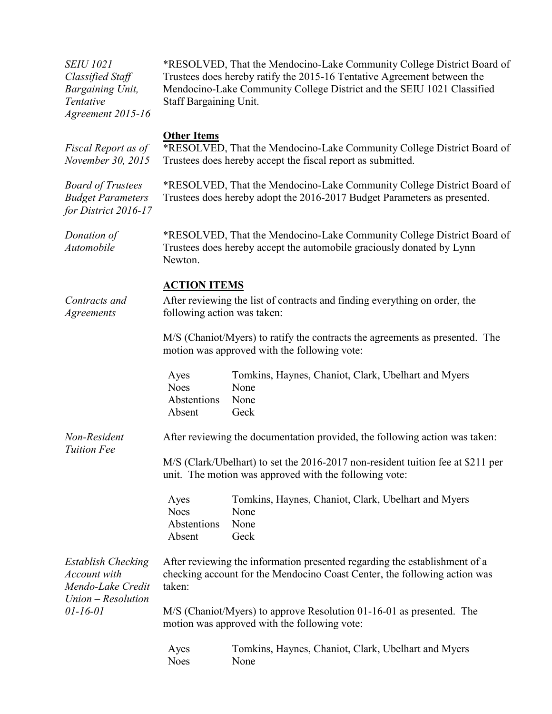| <b>SEIU 1021</b><br>Classified Staff<br><b>Bargaining Unit,</b><br>Tentative<br>Agreement 2015-16 | *RESOLVED, That the Mendocino-Lake Community College District Board of<br>Trustees does hereby ratify the 2015-16 Tentative Agreement between the<br>Mendocino-Lake Community College District and the SEIU 1021 Classified<br>Staff Bargaining Unit.                                                           |                                                                                                                                       |  |
|---------------------------------------------------------------------------------------------------|-----------------------------------------------------------------------------------------------------------------------------------------------------------------------------------------------------------------------------------------------------------------------------------------------------------------|---------------------------------------------------------------------------------------------------------------------------------------|--|
| Fiscal Report as of<br>November 30, 2015                                                          | <b>Other Items</b>                                                                                                                                                                                                                                                                                              | *RESOLVED, That the Mendocino-Lake Community College District Board of<br>Trustees does hereby accept the fiscal report as submitted. |  |
| <b>Board of Trustees</b><br><b>Budget Parameters</b><br>for District 2016-17                      | *RESOLVED, That the Mendocino-Lake Community College District Board of<br>Trustees does hereby adopt the 2016-2017 Budget Parameters as presented.                                                                                                                                                              |                                                                                                                                       |  |
| Donation of<br>Automobile                                                                         | *RESOLVED, That the Mendocino-Lake Community College District Board of<br>Trustees does hereby accept the automobile graciously donated by Lynn<br>Newton.                                                                                                                                                      |                                                                                                                                       |  |
| Contracts and<br><b>Agreements</b>                                                                | <b>ACTION ITEMS</b><br>following action was taken:                                                                                                                                                                                                                                                              | After reviewing the list of contracts and finding everything on order, the                                                            |  |
|                                                                                                   |                                                                                                                                                                                                                                                                                                                 | M/S (Chaniot/Myers) to ratify the contracts the agreements as presented. The<br>motion was approved with the following vote:          |  |
|                                                                                                   | Ayes<br><b>Noes</b><br>Abstentions<br>Absent                                                                                                                                                                                                                                                                    | Tomkins, Haynes, Chaniot, Clark, Ubelhart and Myers<br>None<br>None<br>Geck                                                           |  |
| Non-Resident<br><b>Tuition Fee</b>                                                                | After reviewing the documentation provided, the following action was taken:                                                                                                                                                                                                                                     |                                                                                                                                       |  |
|                                                                                                   | M/S (Clark/Ubelhart) to set the 2016-2017 non-resident tuition fee at \$211 per<br>unit. The motion was approved with the following vote:                                                                                                                                                                       |                                                                                                                                       |  |
|                                                                                                   | Ayes<br><b>Noes</b><br>Abstentions<br>Absent                                                                                                                                                                                                                                                                    | Tomkins, Haynes, Chaniot, Clark, Ubelhart and Myers<br>None<br>None<br>Geck                                                           |  |
| Establish Checking<br>Account with<br>Mendo-Lake Credit                                           | After reviewing the information presented regarding the establishment of a<br>checking account for the Mendocino Coast Center, the following action was<br>taken:<br>$Union-Resolution$<br>M/S (Chaniot/Myers) to approve Resolution 01-16-01 as presented. The<br>motion was approved with the following vote: |                                                                                                                                       |  |
| $01 - 16 - 01$                                                                                    |                                                                                                                                                                                                                                                                                                                 |                                                                                                                                       |  |
|                                                                                                   | Ayes<br><b>Noes</b>                                                                                                                                                                                                                                                                                             | Tomkins, Haynes, Chaniot, Clark, Ubelhart and Myers<br>None                                                                           |  |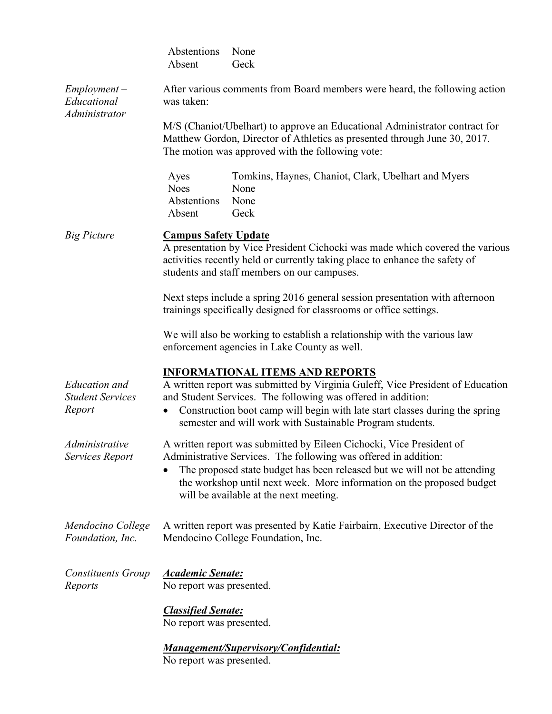|                                                           | Abstentions<br>Absent                                                                                                                                                                                                                                                                                                                  | None<br>Geck                                                                                                                                                                                                                                                                                                                         |  |
|-----------------------------------------------------------|----------------------------------------------------------------------------------------------------------------------------------------------------------------------------------------------------------------------------------------------------------------------------------------------------------------------------------------|--------------------------------------------------------------------------------------------------------------------------------------------------------------------------------------------------------------------------------------------------------------------------------------------------------------------------------------|--|
| $Employment -$<br>Educational<br>Administrator            | After various comments from Board members were heard, the following action<br>was taken:                                                                                                                                                                                                                                               |                                                                                                                                                                                                                                                                                                                                      |  |
|                                                           | M/S (Chaniot/Ubelhart) to approve an Educational Administrator contract for<br>Matthew Gordon, Director of Athletics as presented through June 30, 2017.<br>The motion was approved with the following vote:                                                                                                                           |                                                                                                                                                                                                                                                                                                                                      |  |
|                                                           | Ayes<br><b>Noes</b><br>Abstentions<br>Absent                                                                                                                                                                                                                                                                                           | Tomkins, Haynes, Chaniot, Clark, Ubelhart and Myers<br>None<br>None<br>Geck                                                                                                                                                                                                                                                          |  |
| <b>Big Picture</b>                                        | <b>Campus Safety Update</b><br>A presentation by Vice President Cichocki was made which covered the various<br>activities recently held or currently taking place to enhance the safety of<br>students and staff members on our campuses.                                                                                              |                                                                                                                                                                                                                                                                                                                                      |  |
|                                                           |                                                                                                                                                                                                                                                                                                                                        | Next steps include a spring 2016 general session presentation with afternoon<br>trainings specifically designed for classrooms or office settings.                                                                                                                                                                                   |  |
|                                                           |                                                                                                                                                                                                                                                                                                                                        | We will also be working to establish a relationship with the various law<br>enforcement agencies in Lake County as well.                                                                                                                                                                                                             |  |
| <b>Education</b> and<br><b>Student Services</b><br>Report |                                                                                                                                                                                                                                                                                                                                        | <b>INFORMATIONAL ITEMS AND REPORTS</b><br>A written report was submitted by Virginia Guleff, Vice President of Education<br>and Student Services. The following was offered in addition:<br>Construction boot camp will begin with late start classes during the spring<br>semester and will work with Sustainable Program students. |  |
| Administrative<br>Services Report                         | A written report was submitted by Eileen Cichocki, Vice President of<br>Administrative Services. The following was offered in addition:<br>The proposed state budget has been released but we will not be attending<br>the workshop until next week. More information on the proposed budget<br>will be available at the next meeting. |                                                                                                                                                                                                                                                                                                                                      |  |
| Mendocino College<br>Foundation, Inc.                     |                                                                                                                                                                                                                                                                                                                                        | A written report was presented by Katie Fairbairn, Executive Director of the<br>Mendocino College Foundation, Inc.                                                                                                                                                                                                                   |  |
| <b>Constituents Group</b><br>Reports                      | <b>Academic Senate:</b><br>No report was presented.                                                                                                                                                                                                                                                                                    |                                                                                                                                                                                                                                                                                                                                      |  |
|                                                           | <b>Classified Senate:</b><br>No report was presented.                                                                                                                                                                                                                                                                                  |                                                                                                                                                                                                                                                                                                                                      |  |
|                                                           | No report was presented.                                                                                                                                                                                                                                                                                                               | <b>Management/Supervisory/Confidential:</b>                                                                                                                                                                                                                                                                                          |  |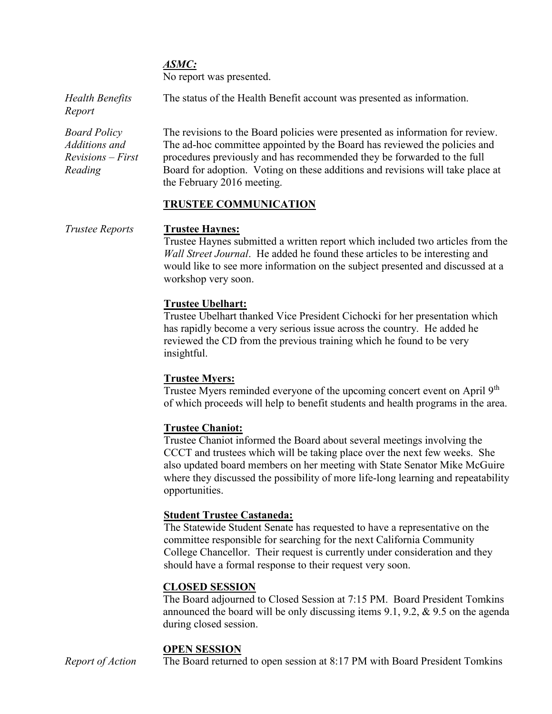# *ASMC:*

No report was presented.

*Health Benefits Report* The status of the Health Benefit account was presented as information. *Board Policy Additions and Revisions – First Reading* The revisions to the Board policies were presented as information for review. The ad-hoc committee appointed by the Board has reviewed the policies and procedures previously and has recommended they be forwarded to the full Board for adoption. Voting on these additions and revisions will take place at the February 2016 meeting.

# **TRUSTEE COMMUNICATION**

### *Trustee Reports* **Trustee Haynes:**

Trustee Haynes submitted a written report which included two articles from the *Wall Street Journal*. He added he found these articles to be interesting and would like to see more information on the subject presented and discussed at a workshop very soon.

## **Trustee Ubelhart:**

Trustee Ubelhart thanked Vice President Cichocki for her presentation which has rapidly become a very serious issue across the country. He added he reviewed the CD from the previous training which he found to be very insightful.

### **Trustee Myers:**

Trustee Myers reminded everyone of the upcoming concert event on April 9<sup>th</sup> of which proceeds will help to benefit students and health programs in the area.

# **Trustee Chaniot:**

Trustee Chaniot informed the Board about several meetings involving the CCCT and trustees which will be taking place over the next few weeks. She also updated board members on her meeting with State Senator Mike McGuire where they discussed the possibility of more life-long learning and repeatability opportunities.

### **Student Trustee Castaneda:**

The Statewide Student Senate has requested to have a representative on the committee responsible for searching for the next California Community College Chancellor. Their request is currently under consideration and they should have a formal response to their request very soon.

### **CLOSED SESSION**

The Board adjourned to Closed Session at 7:15 PM. Board President Tomkins announced the board will be only discussing items 9.1, 9.2, & 9.5 on the agenda during closed session.

### **OPEN SESSION**

*Report of Action* The Board returned to open session at 8:17 PM with Board President Tomkins